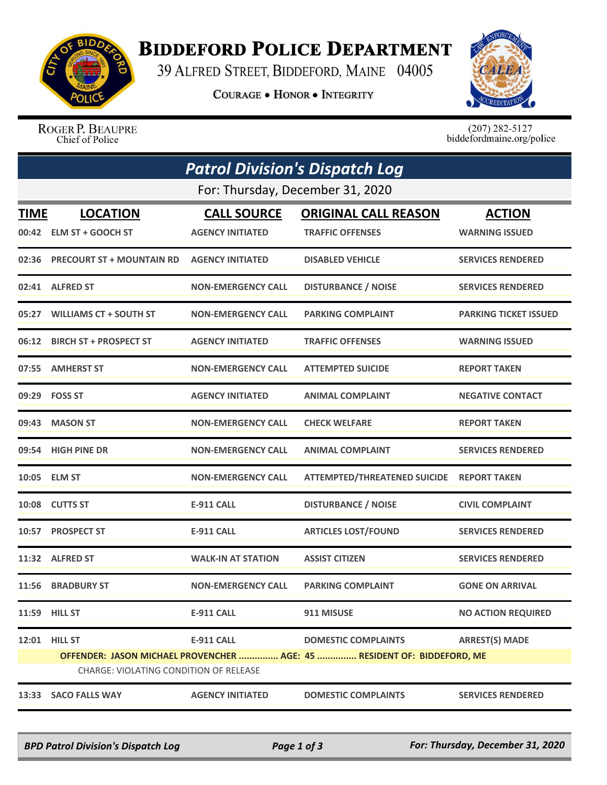

## **BIDDEFORD POLICE DEPARTMENT**

39 ALFRED STREET, BIDDEFORD, MAINE 04005

**COURAGE . HONOR . INTEGRITY** 



ROGER P. BEAUPRE Chief of Police

 $(207)$  282-5127<br>biddefordmaine.org/police

| <b>Patrol Division's Dispatch Log</b> |                                        |                           |                                                                         |                              |  |  |  |
|---------------------------------------|----------------------------------------|---------------------------|-------------------------------------------------------------------------|------------------------------|--|--|--|
|                                       | For: Thursday, December 31, 2020       |                           |                                                                         |                              |  |  |  |
| TIME                                  | <b>LOCATION</b>                        | <b>CALL SOURCE</b>        | <b>ORIGINAL CALL REASON</b>                                             | <b>ACTION</b>                |  |  |  |
| 00:42                                 | <b>ELM ST + GOOCH ST</b>               | <b>AGENCY INITIATED</b>   | <b>TRAFFIC OFFENSES</b>                                                 | <b>WARNING ISSUED</b>        |  |  |  |
| 02:36                                 | <b>PRECOURT ST + MOUNTAIN RD</b>       | <b>AGENCY INITIATED</b>   | <b>DISABLED VEHICLE</b>                                                 | <b>SERVICES RENDERED</b>     |  |  |  |
| 02:41                                 | <b>ALFRED ST</b>                       | <b>NON-EMERGENCY CALL</b> | <b>DISTURBANCE / NOISE</b>                                              | <b>SERVICES RENDERED</b>     |  |  |  |
| 05:27                                 | <b>WILLIAMS CT + SOUTH ST</b>          | <b>NON-EMERGENCY CALL</b> | <b>PARKING COMPLAINT</b>                                                | <b>PARKING TICKET ISSUED</b> |  |  |  |
| 06:12                                 | <b>BIRCH ST + PROSPECT ST</b>          | <b>AGENCY INITIATED</b>   | <b>TRAFFIC OFFENSES</b>                                                 | <b>WARNING ISSUED</b>        |  |  |  |
| 07:55                                 | <b>AMHERST ST</b>                      | <b>NON-EMERGENCY CALL</b> | <b>ATTEMPTED SUICIDE</b>                                                | <b>REPORT TAKEN</b>          |  |  |  |
| 09:29                                 | <b>FOSS ST</b>                         | <b>AGENCY INITIATED</b>   | <b>ANIMAL COMPLAINT</b>                                                 | <b>NEGATIVE CONTACT</b>      |  |  |  |
| 09:43                                 | <b>MASON ST</b>                        | <b>NON-EMERGENCY CALL</b> | <b>CHECK WELFARE</b>                                                    | <b>REPORT TAKEN</b>          |  |  |  |
| 09:54                                 | <b>HIGH PINE DR</b>                    | <b>NON-EMERGENCY CALL</b> | <b>ANIMAL COMPLAINT</b>                                                 | <b>SERVICES RENDERED</b>     |  |  |  |
| 10:05                                 | <b>ELM ST</b>                          | <b>NON-EMERGENCY CALL</b> | <b>ATTEMPTED/THREATENED SUICIDE</b>                                     | <b>REPORT TAKEN</b>          |  |  |  |
|                                       | 10:08 CUTTS ST                         | E-911 CALL                | <b>DISTURBANCE / NOISE</b>                                              | <b>CIVIL COMPLAINT</b>       |  |  |  |
| 10:57                                 | <b>PROSPECT ST</b>                     | <b>E-911 CALL</b>         | <b>ARTICLES LOST/FOUND</b>                                              | <b>SERVICES RENDERED</b>     |  |  |  |
|                                       | 11:32 ALFRED ST                        | <b>WALK-IN AT STATION</b> | <b>ASSIST CITIZEN</b>                                                   | <b>SERVICES RENDERED</b>     |  |  |  |
| 11:56                                 | <b>BRADBURY ST</b>                     | <b>NON-EMERGENCY CALL</b> | <b>PARKING COMPLAINT</b>                                                | <b>GONE ON ARRIVAL</b>       |  |  |  |
|                                       | 11:59 HILL ST                          | <b>E-911 CALL</b>         | 911 MISUSE                                                              | <b>NO ACTION REQUIRED</b>    |  |  |  |
| 12:01                                 | <b>HILL ST</b>                         | <b>E-911 CALL</b>         | <b>DOMESTIC COMPLAINTS</b>                                              | <b>ARREST(S) MADE</b>        |  |  |  |
|                                       | CHARGE: VIOLATING CONDITION OF RELEASE |                           | OFFENDER: JASON MICHAEL PROVENCHER  AGE: 45  RESIDENT OF: BIDDEFORD, ME |                              |  |  |  |
|                                       |                                        |                           |                                                                         |                              |  |  |  |
|                                       | 13:33 SACO FALLS WAY                   | <b>AGENCY INITIATED</b>   | <b>DOMESTIC COMPLAINTS</b>                                              | <b>SERVICES RENDERED</b>     |  |  |  |

*BPD Patrol Division's Dispatch Log Page 1 of 3 For: Thursday, December 31, 2020*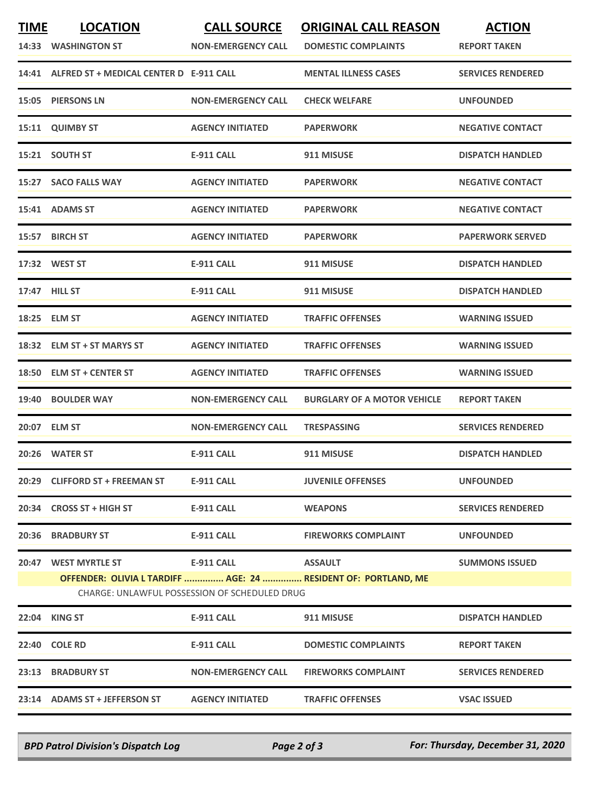| <b>TIME</b> | <b>LOCATION</b><br>14:33 WASHINGTON ST        | <b>CALL SOURCE</b><br><b>NON-EMERGENCY CALL</b> | <b>ORIGINAL CALL REASON</b><br><b>DOMESTIC COMPLAINTS</b>      | <b>ACTION</b><br><b>REPORT TAKEN</b> |
|-------------|-----------------------------------------------|-------------------------------------------------|----------------------------------------------------------------|--------------------------------------|
|             | 14:41 ALFRED ST + MEDICAL CENTER D E-911 CALL |                                                 | <b>MENTAL ILLNESS CASES</b>                                    | <b>SERVICES RENDERED</b>             |
|             | 15:05 PIERSONS LN                             | <b>NON-EMERGENCY CALL</b>                       | <b>CHECK WELFARE</b>                                           | <b>UNFOUNDED</b>                     |
|             | 15:11 QUIMBY ST                               | <b>AGENCY INITIATED</b>                         | <b>PAPERWORK</b>                                               | <b>NEGATIVE CONTACT</b>              |
|             | 15:21 SOUTH ST                                | <b>E-911 CALL</b>                               | 911 MISUSE                                                     | <b>DISPATCH HANDLED</b>              |
|             | 15:27 SACO FALLS WAY                          | <b>AGENCY INITIATED</b>                         | <b>PAPERWORK</b>                                               | <b>NEGATIVE CONTACT</b>              |
|             | 15:41 ADAMS ST                                | <b>AGENCY INITIATED</b>                         | <b>PAPERWORK</b>                                               | <b>NEGATIVE CONTACT</b>              |
|             | 15:57 BIRCH ST                                | <b>AGENCY INITIATED</b>                         | <b>PAPERWORK</b>                                               | <b>PAPERWORK SERVED</b>              |
|             | 17:32 WEST ST                                 | <b>E-911 CALL</b>                               | 911 MISUSE                                                     | <b>DISPATCH HANDLED</b>              |
|             | 17:47 HILL ST                                 | <b>E-911 CALL</b>                               | 911 MISUSE                                                     | <b>DISPATCH HANDLED</b>              |
|             | 18:25 ELM ST                                  | <b>AGENCY INITIATED</b>                         | <b>TRAFFIC OFFENSES</b>                                        | <b>WARNING ISSUED</b>                |
|             | 18:32 ELM ST + ST MARYS ST                    | <b>AGENCY INITIATED</b>                         | <b>TRAFFIC OFFENSES</b>                                        | <b>WARNING ISSUED</b>                |
|             | 18:50 ELM ST + CENTER ST                      | <b>AGENCY INITIATED</b>                         | <b>TRAFFIC OFFENSES</b>                                        | <b>WARNING ISSUED</b>                |
|             | 19:40 BOULDER WAY                             | <b>NON-EMERGENCY CALL</b>                       | <b>BURGLARY OF A MOTOR VEHICLE</b>                             | <b>REPORT TAKEN</b>                  |
|             | 20:07 ELM ST                                  | <b>NON-EMERGENCY CALL</b>                       | <b>TRESPASSING</b>                                             | <b>SERVICES RENDERED</b>             |
|             | 20:26 WATER ST                                | <b>E-911 CALL</b>                               | 911 MISUSE                                                     | <b>DISPATCH HANDLED</b>              |
| 20:29       | <b>CLIFFORD ST + FREEMAN ST</b>               | <b>E-911 CALL</b>                               | <b>JUVENILE OFFENSES</b>                                       | <b>UNFOUNDED</b>                     |
|             | 20:34 CROSS ST + HIGH ST                      | <b>E-911 CALL</b>                               | <b>WEAPONS</b>                                                 | <b>SERVICES RENDERED</b>             |
|             | <b>20:36 BRADBURY ST</b>                      | <b>E-911 CALL</b>                               | <b>FIREWORKS COMPLAINT</b>                                     | <b>UNFOUNDED</b>                     |
|             | 20:47 WEST MYRTLE ST                          | E-911 CALL                                      | <b>ASSAULT</b>                                                 | <b>SUMMONS ISSUED</b>                |
|             |                                               | CHARGE: UNLAWFUL POSSESSION OF SCHEDULED DRUG   | OFFENDER: OLIVIA L TARDIFF  AGE: 24  RESIDENT OF: PORTLAND, ME |                                      |
|             | 22:04 KING ST                                 | <b>E-911 CALL</b>                               | 911 MISUSE                                                     | <b>DISPATCH HANDLED</b>              |
|             | 22:40 COLE RD                                 | E-911 CALL                                      | <b>DOMESTIC COMPLAINTS</b>                                     | <b>REPORT TAKEN</b>                  |
|             | 23:13 BRADBURY ST                             | <b>NON-EMERGENCY CALL</b>                       | <b>FIREWORKS COMPLAINT</b>                                     | <b>SERVICES RENDERED</b>             |
|             | 23:14 ADAMS ST + JEFFERSON ST                 | <b>AGENCY INITIATED</b>                         | <b>TRAFFIC OFFENSES</b>                                        | <b>VSAC ISSUED</b>                   |

*BPD Patrol Division's Dispatch Log Page 2 of 3 For: Thursday, December 31, 2020*